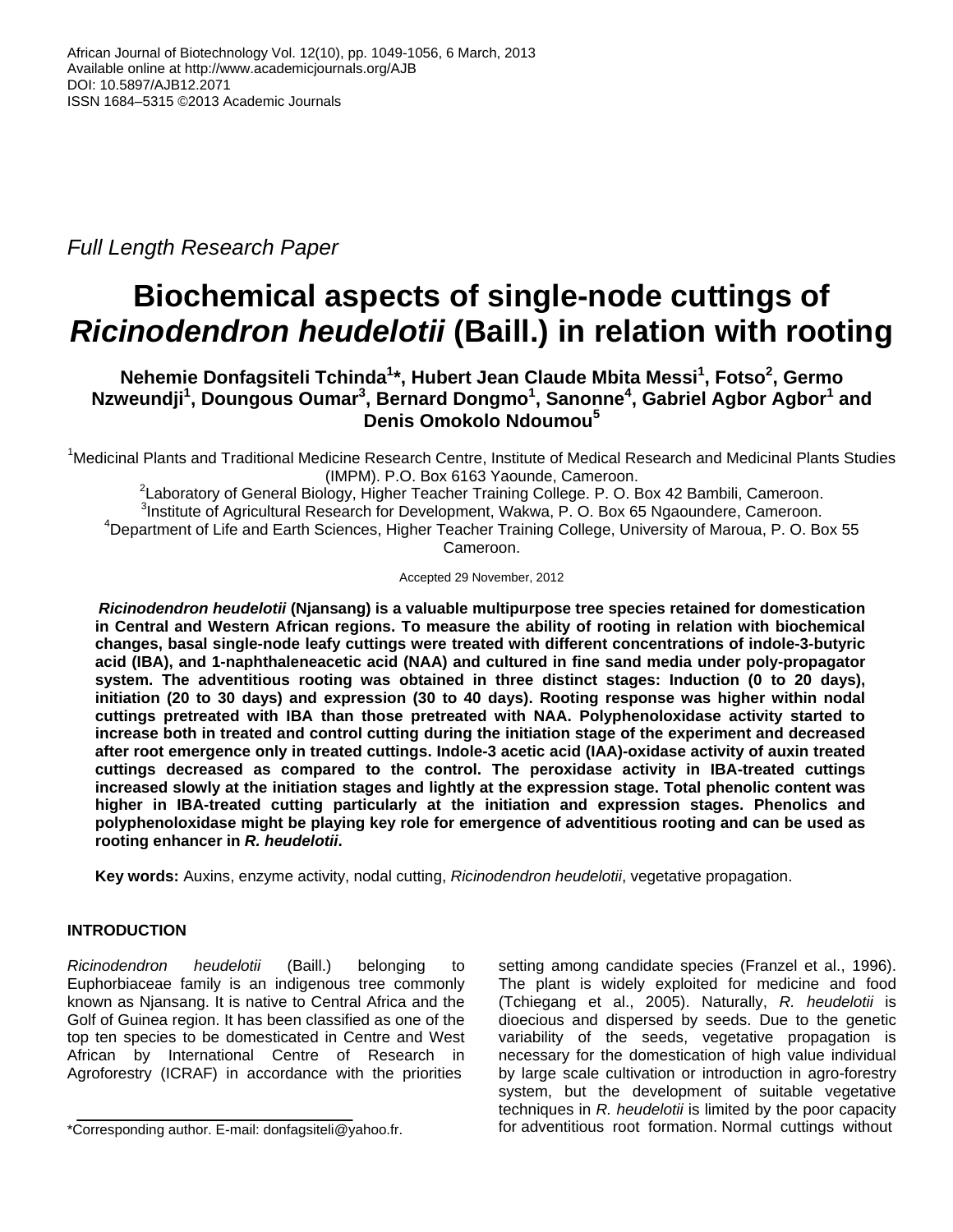*Full Length Research Paper*

# **Biochemical aspects of single-node cuttings of**  *Ricinodendron heudelotii* **(Baill.) in relation with rooting**

**Nehemie Donfagsiteli Tchinda<sup>1</sup> \*, Hubert Jean Claude Mbita Messi<sup>1</sup> , Fotso<sup>2</sup> , Germo Nzweundji<sup>1</sup> , Doungous Oumar<sup>3</sup> , Bernard Dongmo<sup>1</sup> , Sanonne<sup>4</sup> , Gabriel Agbor Agbor<sup>1</sup> and Denis Omokolo Ndoumou<sup>5</sup>**

<sup>1</sup>Medicinal Plants and Traditional Medicine Research Centre, Institute of Medical Research and Medicinal Plants Studies (IMPM). P.O. Box 6163 Yaounde, Cameroon.

<sup>2</sup> Laboratory of General Biology, Higher Teacher Training College. P. O. Box 42 Bambili, Cameroon. <sup>3</sup>Institute of Agricultural Research for Development, Wakwa, P. O. Box 65 Ngaoundere, Cameroon. <sup>4</sup>Department of Life and Earth Sciences, Higher Teacher Training College, University of Maroua, P. O. Box 55 Cameroon.

Accepted 29 November, 2012

*Ricinodendron heudelotii* **(Njansang) is a valuable multipurpose tree species retained for domestication in Central and Western African regions. To measure the ability of rooting in relation with biochemical changes, basal single-node leafy cuttings were treated with different concentrations of indole-3-butyric acid (IBA), and 1-naphthaleneacetic acid (NAA) and cultured in fine sand media under poly-propagator system. The adventitious rooting was obtained in three distinct stages: Induction (0 to 20 days), initiation (20 to 30 days) and expression (30 to 40 days). Rooting response was higher within nodal cuttings pretreated with IBA than those pretreated with NAA. Polyphenoloxidase activity started to increase both in treated and control cutting during the initiation stage of the experiment and decreased after root emergence only in treated cuttings. Indole-3 acetic acid (IAA)-oxidase activity of auxin treated cuttings decreased as compared to the control. The peroxidase activity in IBA-treated cuttings increased slowly at the initiation stages and lightly at the expression stage. Total phenolic content was higher in IBA-treated cutting particularly at the initiation and expression stages. Phenolics and polyphenoloxidase might be playing key role for emergence of adventitious rooting and can be used as rooting enhancer in** *R. heudelotii***.**

**Key words:** Auxins, enzyme activity, nodal cutting, *Ricinodendron heudelotii*, vegetative propagation.

## **INTRODUCTION**

*Ricinodendron heudelotii* (Baill.) belonging to Euphorbiaceae family is an indigenous tree commonly known as Njansang. It is native to Central Africa and the Golf of Guinea region. It has been classified as one of the top ten species to be domesticated in Centre and West African by International Centre of Research in Agroforestry (ICRAF) in accordance with the priorities

setting among candidate species (Franzel et al., 1996). The plant is widely exploited for medicine and food (Tchiegang et al., 2005). Naturally, *R. heudelotii* is dioecious and dispersed by seeds. Due to the genetic variability of the seeds, vegetative propagation is necessary for the domestication of high value individual by large scale cultivation or introduction in agro-forestry system, but the development of suitable vegetative techniques in *R. heudelotii* is limited by the poor capacity for adventitious root formation. Normal cuttings without

<sup>\*</sup>Corresponding author. E-mail: [donfagsiteli@yahoo.fr.](mailto:donfagsiteli@yahoo.fr)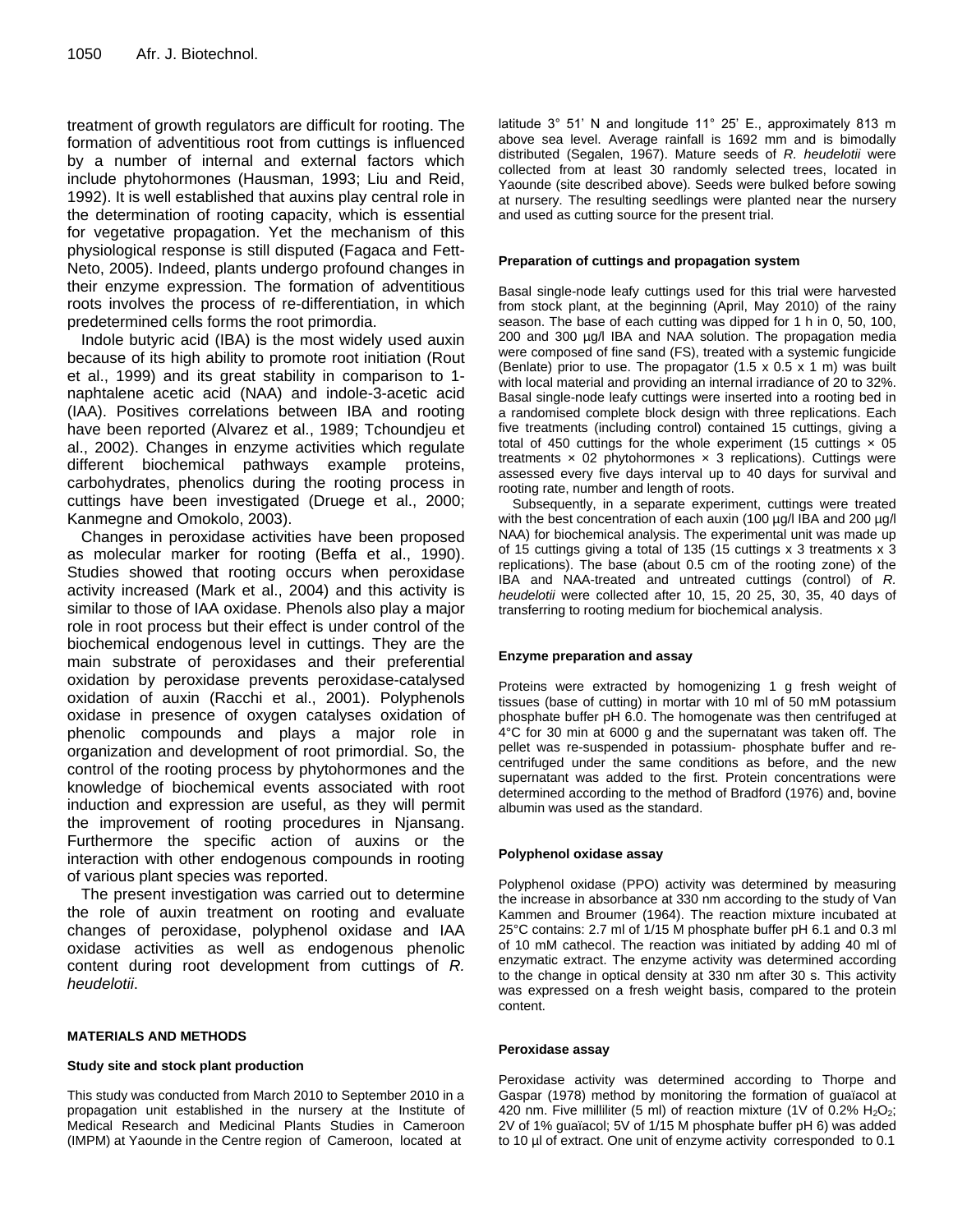treatment of growth regulators are difficult for rooting. The formation of adventitious root from cuttings is influenced by a number of internal and external factors which include phytohormones (Hausman, 1993; Liu and Reid, 1992). It is well established that auxins play central role in the determination of rooting capacity, which is essential for vegetative propagation. Yet the mechanism of this physiological response is still disputed (Fagaca and Fett-Neto, 2005). Indeed, plants undergo profound changes in their enzyme expression. The formation of adventitious roots involves the process of re-differentiation, in which predetermined cells forms the root primordia.

Indole butyric acid (IBA) is the most widely used auxin because of its high ability to promote root initiation (Rout et al., 1999) and its great stability in comparison to 1 naphtalene acetic acid (NAA) and indole-3-acetic acid (IAA). Positives correlations between IBA and rooting have been reported (Alvarez et al., 1989; Tchoundjeu et al., 2002). Changes in enzyme activities which regulate different biochemical pathways example proteins, carbohydrates, phenolics during the rooting process in cuttings have been investigated (Druege et al., 2000; Kanmegne and Omokolo, 2003).

Changes in peroxidase activities have been proposed as molecular marker for rooting (Beffa et al., 1990). Studies showed that rooting occurs when peroxidase activity increased (Mark et al., 2004) and this activity is similar to those of IAA oxidase. Phenols also play a major role in root process but their effect is under control of the biochemical endogenous level in cuttings. They are the main substrate of peroxidases and their preferential oxidation by peroxidase prevents peroxidase-catalysed oxidation of auxin (Racchi et al., 2001). Polyphenols oxidase in presence of oxygen catalyses oxidation of phenolic compounds and plays a major role in organization and development of root primordial. So, the control of the rooting process by phytohormones and the knowledge of biochemical events associated with root induction and expression are useful, as they will permit the improvement of rooting procedures in Njansang. Furthermore the specific action of auxins or the interaction with other endogenous compounds in rooting of various plant species was reported.

The present investigation was carried out to determine the role of auxin treatment on rooting and evaluate changes of peroxidase, polyphenol oxidase and IAA oxidase activities as well as endogenous phenolic content during root development from cuttings of *R. heudelotii*.

## **MATERIALS AND METHODS**

#### **Study site and stock plant production**

This study was conducted from March 2010 to September 2010 in a propagation unit established in the nursery at the Institute of Medical Research and Medicinal Plants Studies in Cameroon (IMPM) at Yaounde in the Centre region of Cameroon, located at

latitude 3° 51' N and longitude 11° 25' E., approximately 813 m above sea level. Average rainfall is 1692 mm and is bimodally distributed (Segalen, 1967). Mature seeds of *R. heudelotii* were collected from at least 30 randomly selected trees, located in Yaounde (site described above). Seeds were bulked before sowing at nursery. The resulting seedlings were planted near the nursery and used as cutting source for the present trial.

#### **Preparation of cuttings and propagation system**

Basal single-node leafy cuttings used for this trial were harvested from stock plant, at the beginning (April, May 2010) of the rainy season. The base of each cutting was dipped for 1 h in 0, 50, 100, 200 and 300 µg/l IBA and NAA solution. The propagation media were composed of fine sand (FS), treated with a systemic fungicide (Benlate) prior to use. The propagator  $(1.5 \times 0.5 \times 1 \text{ m})$  was built with local material and providing an internal irradiance of 20 to 32%. Basal single-node leafy cuttings were inserted into a rooting bed in a randomised complete block design with three replications. Each five treatments (including control) contained 15 cuttings, giving a total of 450 cuttings for the whole experiment (15 cuttings  $\times$  05 treatments  $\times$  02 phytohormones  $\times$  3 replications). Cuttings were assessed every five days interval up to 40 days for survival and rooting rate, number and length of roots.

Subsequently, in a separate experiment, cuttings were treated with the best concentration of each auxin (100 µg/l IBA and 200 µg/l NAA) for biochemical analysis. The experimental unit was made up of 15 cuttings giving a total of 135 (15 cuttings x 3 treatments x 3 replications). The base (about 0.5 cm of the rooting zone) of the IBA and NAA-treated and untreated cuttings (control) of *R. heudelotii* were collected after 10, 15, 20 25, 30, 35, 40 days of transferring to rooting medium for biochemical analysis.

#### **Enzyme preparation and assay**

Proteins were extracted by homogenizing 1 g fresh weight of tissues (base of cutting) in mortar with 10 ml of 50 mM potassium phosphate buffer pH 6.0. The homogenate was then centrifuged at 4°C for 30 min at 6000 g and the supernatant was taken off. The pellet was re-suspended in potassium- phosphate buffer and recentrifuged under the same conditions as before, and the new supernatant was added to the first. Protein concentrations were determined according to the method of Bradford (1976) and, bovine albumin was used as the standard.

## **Polyphenol oxidase assay**

Polyphenol oxidase (PPO) activity was determined by measuring the increase in absorbance at 330 nm according to the study of Van Kammen and Broumer (1964). The reaction mixture incubated at 25°C contains: 2.7 ml of 1/15 M phosphate buffer pH 6.1 and 0.3 ml of 10 mM cathecol. The reaction was initiated by adding 40 ml of enzymatic extract. The enzyme activity was determined according to the change in optical density at 330 nm after 30 s. This activity was expressed on a fresh weight basis, compared to the protein content.

#### **Peroxidase assay**

Peroxidase activity was determined according to Thorpe and Gaspar (1978) method by monitoring the formation of guaïacol at 420 nm. Five milliliter (5 ml) of reaction mixture (1V of 0.2%  $H_2O_2$ ; 2V of 1% guaïacol; 5V of 1/15 M phosphate buffer pH 6) was added to 10 µl of extract. One unit of enzyme activity corresponded to 0.1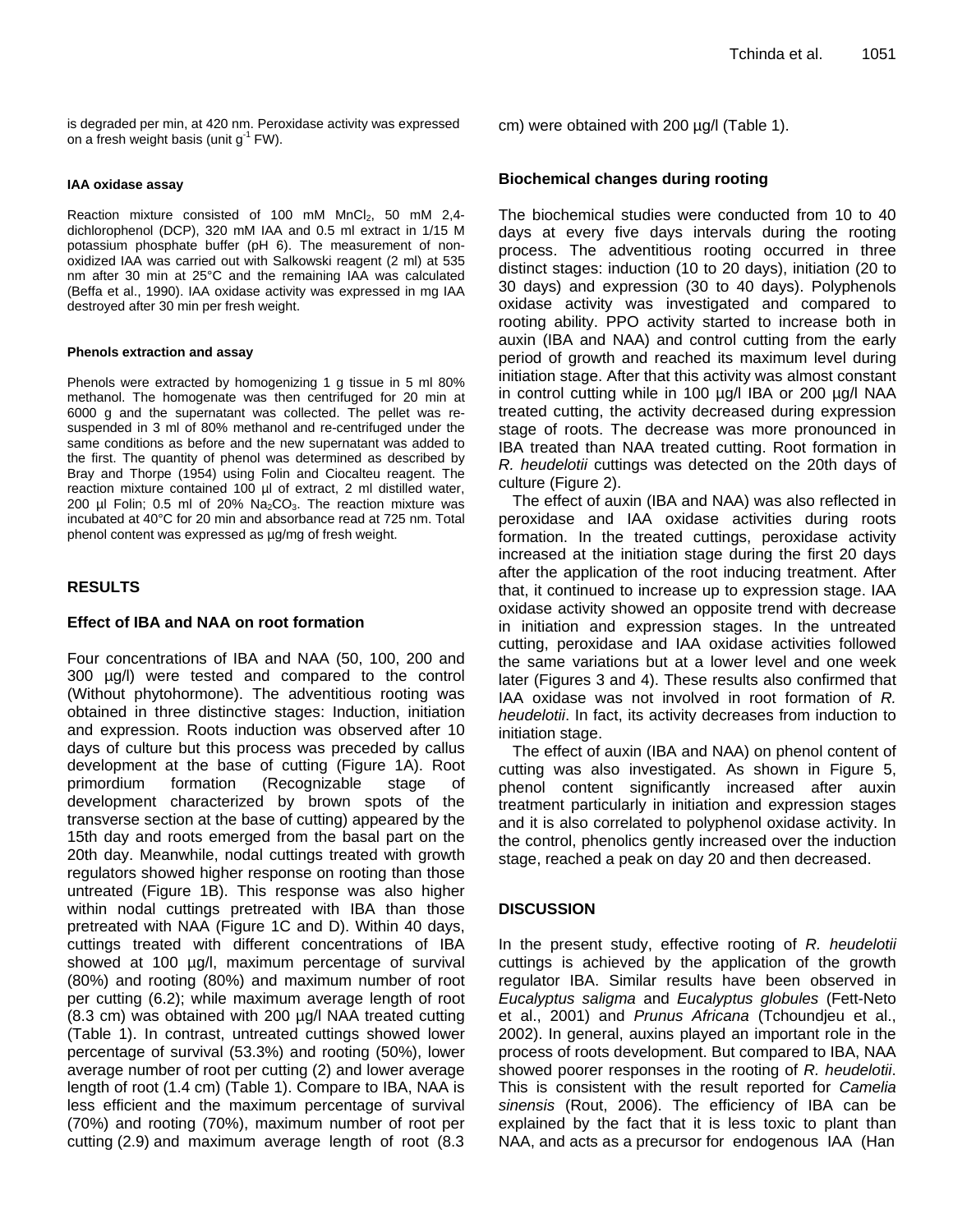is degraded per min, at 420 nm. Peroxidase activity was expressed on a fresh weight basis (unit  $g^{-1}$  FW).

#### **IAA oxidase assay**

Reaction mixture consisted of 100 mM  $MnCl<sub>2</sub>$ , 50 mM 2,4dichlorophenol (DCP), 320 mM IAA and 0.5 ml extract in 1/15 M potassium phosphate buffer (pH 6). The measurement of nonoxidized IAA was carried out with Salkowski reagent (2 ml) at 535 nm after 30 min at 25°C and the remaining IAA was calculated (Beffa et al., 1990). IAA oxidase activity was expressed in mg IAA destroyed after 30 min per fresh weight.

#### **Phenols extraction and assay**

Phenols were extracted by homogenizing 1 g tissue in 5 ml 80% methanol. The homogenate was then centrifuged for 20 min at 6000 g and the supernatant was collected. The pellet was resuspended in 3 ml of 80% methanol and re-centrifuged under the same conditions as before and the new supernatant was added to the first. The quantity of phenol was determined as described by Bray and Thorpe (1954) using Folin and Ciocalteu reagent. The reaction mixture contained 100 µl of extract, 2 ml distilled water, 200 µl Folin; 0.5 ml of 20%  $Na<sub>2</sub>CO<sub>3</sub>$ . The reaction mixture was incubated at 40°C for 20 min and absorbance read at 725 nm. Total phenol content was expressed as µg/mg of fresh weight.

## **RESULTS**

## **Effect of IBA and NAA on root formation**

Four concentrations of IBA and NAA (50, 100, 200 and 300 µg/l) were tested and compared to the control (Without phytohormone). The adventitious rooting was obtained in three distinctive stages: Induction, initiation and expression. Roots induction was observed after 10 days of culture but this process was preceded by callus development at the base of cutting (Figure 1A). Root primordium formation (Recognizable stage of development characterized by brown spots of the transverse section at the base of cutting) appeared by the 15th day and roots emerged from the basal part on the 20th day. Meanwhile, nodal cuttings treated with growth regulators showed higher response on rooting than those untreated (Figure 1B). This response was also higher within nodal cuttings pretreated with IBA than those pretreated with NAA (Figure 1C and D). Within 40 days, cuttings treated with different concentrations of IBA showed at 100 µg/l, maximum percentage of survival (80%) and rooting (80%) and maximum number of root per cutting (6.2); while maximum average length of root (8.3 cm) was obtained with 200 µg/l NAA treated cutting (Table 1). In contrast, untreated cuttings showed lower percentage of survival (53.3%) and rooting (50%), lower average number of root per cutting (2) and lower average length of root (1.4 cm) (Table 1). Compare to IBA, NAA is less efficient and the maximum percentage of survival (70%) and rooting (70%), maximum number of root per cutting (2.9) and maximum average length of root (8.3 cm) were obtained with 200 µg/l (Table 1).

## **Biochemical changes during rooting**

The biochemical studies were conducted from 10 to 40 days at every five days intervals during the rooting process. The adventitious rooting occurred in three distinct stages: induction (10 to 20 days), initiation (20 to 30 days) and expression (30 to 40 days). Polyphenols oxidase activity was investigated and compared to rooting ability. PPO activity started to increase both in auxin (IBA and NAA) and control cutting from the early period of growth and reached its maximum level during initiation stage. After that this activity was almost constant in control cutting while in 100 µg/l IBA or 200 µg/l NAA treated cutting, the activity decreased during expression stage of roots. The decrease was more pronounced in IBA treated than NAA treated cutting. Root formation in *R. heudelotii* cuttings was detected on the 20th days of culture (Figure 2).

The effect of auxin (IBA and NAA) was also reflected in peroxidase and IAA oxidase activities during roots formation. In the treated cuttings, peroxidase activity increased at the initiation stage during the first 20 days after the application of the root inducing treatment. After that, it continued to increase up to expression stage. IAA oxidase activity showed an opposite trend with decrease in initiation and expression stages. In the untreated cutting, peroxidase and IAA oxidase activities followed the same variations but at a lower level and one week later (Figures 3 and 4). These results also confirmed that IAA oxidase was not involved in root formation of *R. heudelotii*. In fact, its activity decreases from induction to initiation stage.

The effect of auxin (IBA and NAA) on phenol content of cutting was also investigated. As shown in Figure 5, phenol content significantly increased after auxin treatment particularly in initiation and expression stages and it is also correlated to polyphenol oxidase activity. In the control, phenolics gently increased over the induction stage, reached a peak on day 20 and then decreased.

## **DISCUSSION**

In the present study, effective rooting of *R. heudelotii* cuttings is achieved by the application of the growth regulator IBA. Similar results have been observed in *Eucalyptus saligma* and *Eucalyptus globules* (Fett-Neto et al., 2001) and *Prunus Africana* (Tchoundjeu et al., 2002). In general, auxins played an important role in the process of roots development. But compared to IBA, NAA showed poorer responses in the rooting of *R. heudelotii*. This is consistent with the result reported for *Camelia sinensis* (Rout, 2006). The efficiency of IBA can be explained by the fact that it is less toxic to plant than NAA, and acts as a precursor for endogenous IAA (Han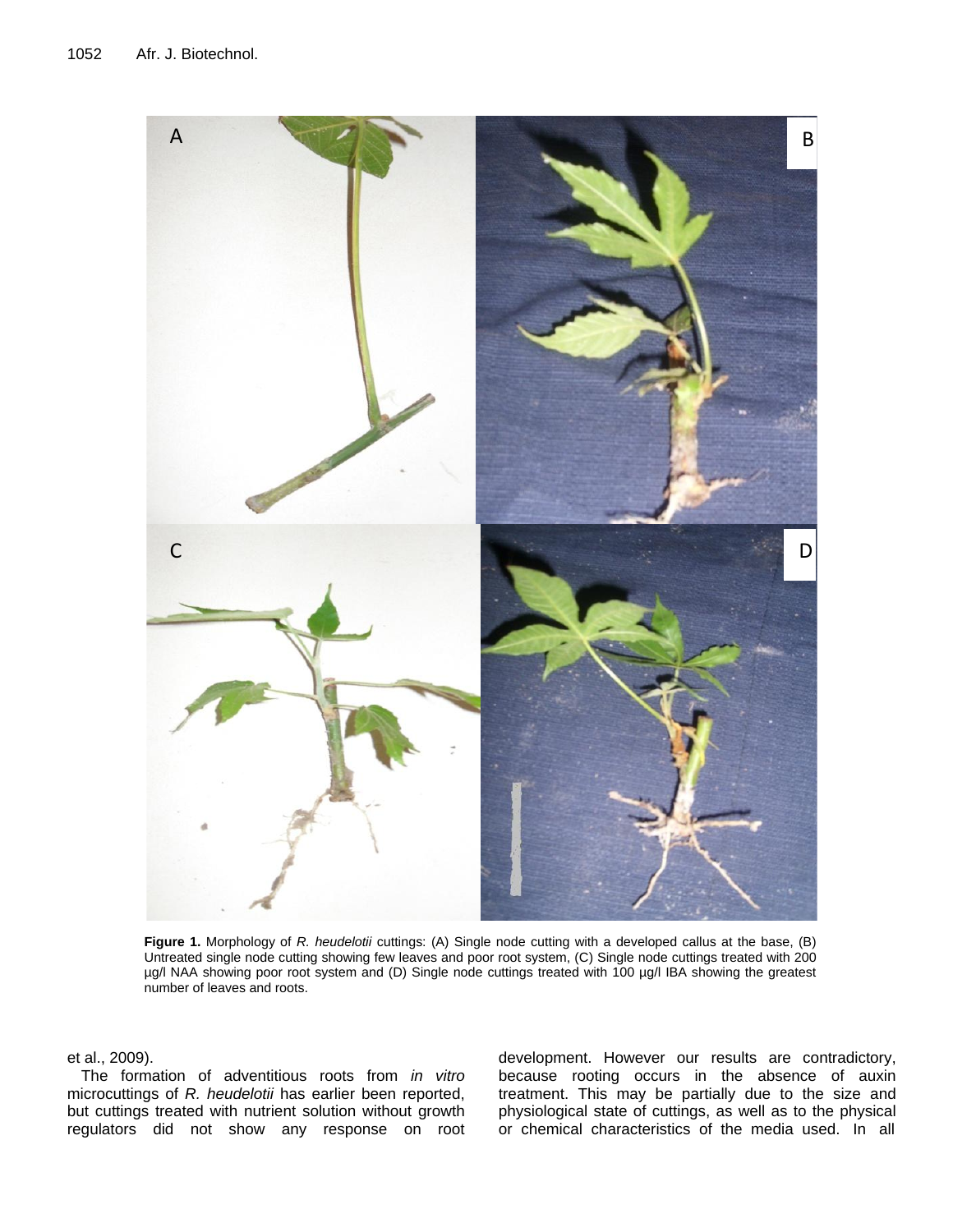

**Figure 1.** Morphology of *R. heudelotii* cuttings: (A) Single node cutting with a developed callus at the base, (B) Untreated single node cutting showing few leaves and poor root system, (C) Single node cuttings treated with 200 µg/l NAA showing poor root system and (D) Single node cuttings treated with 100 µg/l IBA showing the greatest number of leaves and roots.

et al., 2009).

The formation of adventitious roots from *in vitro* microcuttings of *R. heudelotii* has earlier been reported, but cuttings treated with nutrient solution without growth regulators did not show any response on root

development. However our results are contradictory, because rooting occurs in the absence of auxin treatment. This may be partially due to the size and physiological state of cuttings, as well as to the physical or chemical characteristics of the media used. In all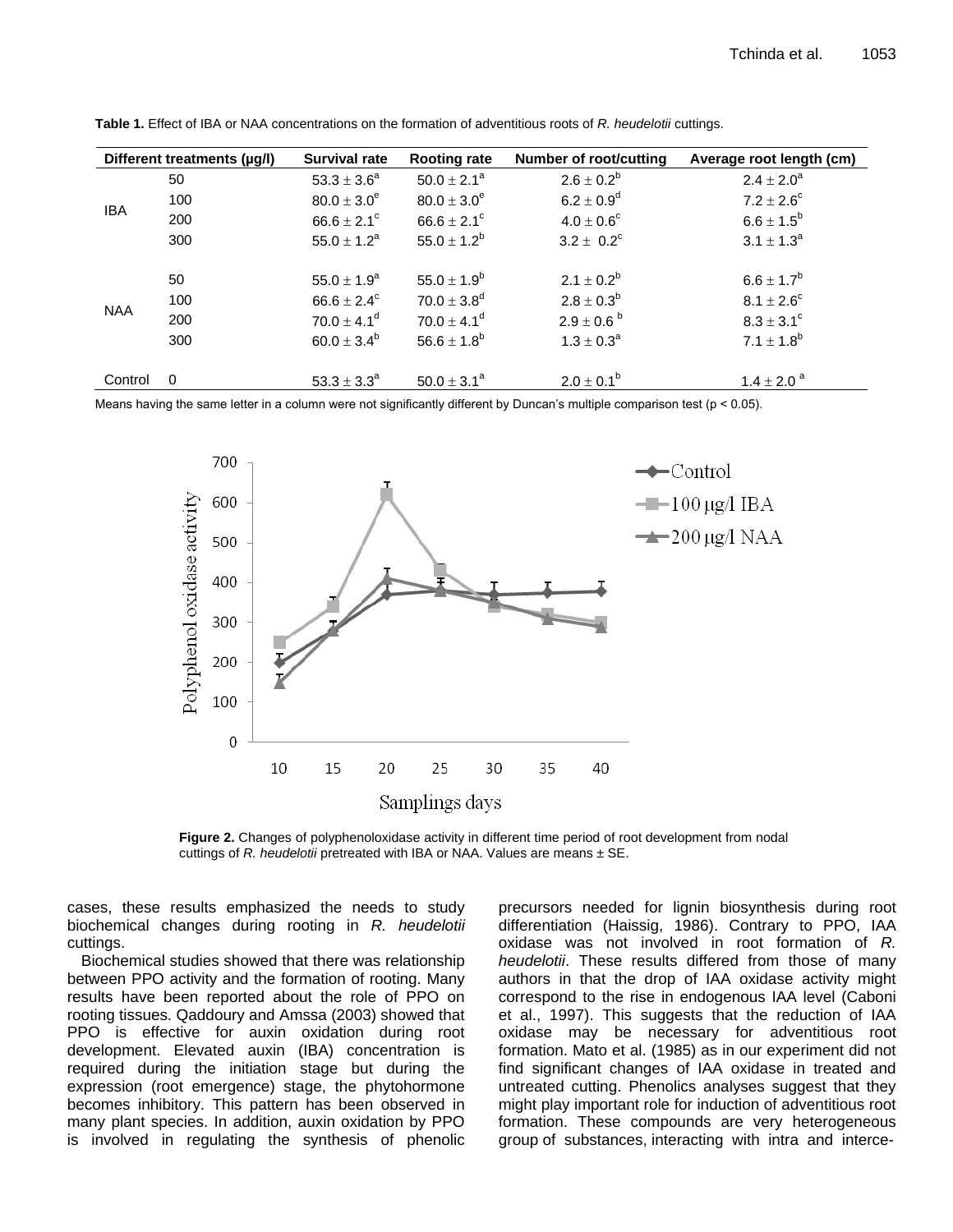| Different treatments (µg/l) |     | <b>Survival rate</b>        | <b>Rooting rate</b>         | <b>Number of root/cutting</b> | Average root length (cm)   |
|-----------------------------|-----|-----------------------------|-----------------------------|-------------------------------|----------------------------|
| <b>IBA</b>                  | 50  | $53.3 \pm 3.6^a$            | $50.0 \pm 2.1^a$            | $2.6 \pm 0.2^b$               | $2.4 \pm 2.0^a$            |
|                             | 100 | $80.0 \pm 3.0^e$            | $80.0 \pm 3.0^e$            | $6.2 \pm 0.9^d$               | $7.2 \pm 2.6^{\circ}$      |
|                             | 200 | $66.6 \pm 2.1^{\circ}$      | $66.6 \pm 2.1^{\circ}$      | $4.0 \pm 0.6^{\circ}$         | $6.6 \pm 1.5^b$            |
|                             | 300 | $55.0 \pm 1.2^a$            | 55.0 $\pm$ 1.2 <sup>b</sup> | $3.2 \pm 0.2^c$               | $3.1 \pm 1.3^a$            |
| <b>NAA</b>                  | 50  | $55.0 \pm 1.9^a$            | $55.0 \pm 1.9^b$            | $2.1 \pm 0.2^b$               | $6.6 \pm 1.7^b$            |
|                             | 100 | $66.6 \pm 2.4^c$            | $70.0 \pm 3.8$ <sup>d</sup> | $2.8 \pm 0.3^b$               | $8.1 \pm 2.6^{\circ}$      |
|                             | 200 | $70.0 \pm 4.1$ <sup>d</sup> | $70.0 \pm 4.1$ <sup>d</sup> | $2.9 \pm 0.6^{b}$             | $8.3 \pm 3.1^{\circ}$      |
|                             | 300 | $60.0 \pm 3.4^b$            | $56.6 \pm 1.8^b$            | $1.3 \pm 0.3^a$               | 7.1 $\pm$ 1.8 <sup>b</sup> |
| Control                     | 0   | $53.3 \pm 3.3^a$            | $50.0 \pm 3.1^a$            | $2.0 \pm 0.1^b$               | $1.4 \pm 2.0^{\text{a}}$   |

**Table 1.** Effect of IBA or NAA concentrations on the formation of adventitious roots of *R. heudelotii* cuttings.

Means having the same letter in a column were not significantly different by Duncan's multiple comparison test ( $p < 0.05$ ).



**Figure 2.** Changes of polyphenoloxidase activity in different time period of root development from nodal cuttings of *R. heudelotii* pretreated with IBA or NAA. Values are means ± SE.

cases, these results emphasized the needs to study biochemical changes during rooting in *R. heudelotii* cuttings.

Biochemical studies showed that there was relationship between PPO activity and the formation of rooting. Many results have been reported about the role of PPO on rooting tissues. Qaddoury and Amssa (2003) showed that PPO is effective for auxin oxidation during root development. Elevated auxin (IBA) concentration is required during the initiation stage but during the expression (root emergence) stage, the phytohormone becomes inhibitory. This pattern has been observed in many plant species. In addition, auxin oxidation by PPO is involved in regulating the synthesis of phenolic

precursors needed for lignin biosynthesis during root differentiation (Haissig, 1986). Contrary to PPO, IAA oxidase was not involved in root formation of *R. heudelotii*. These results differed from those of many authors in that the drop of IAA oxidase activity might correspond to the rise in endogenous IAA level (Caboni et al., 1997). This suggests that the reduction of IAA oxidase may be necessary for adventitious root formation. Mato et al. (1985) as in our experiment did not find significant changes of IAA oxidase in treated and untreated cutting. Phenolics analyses suggest that they might play important role for induction of adventitious root formation. These compounds are very heterogeneous group of substances, interacting with intra and interce-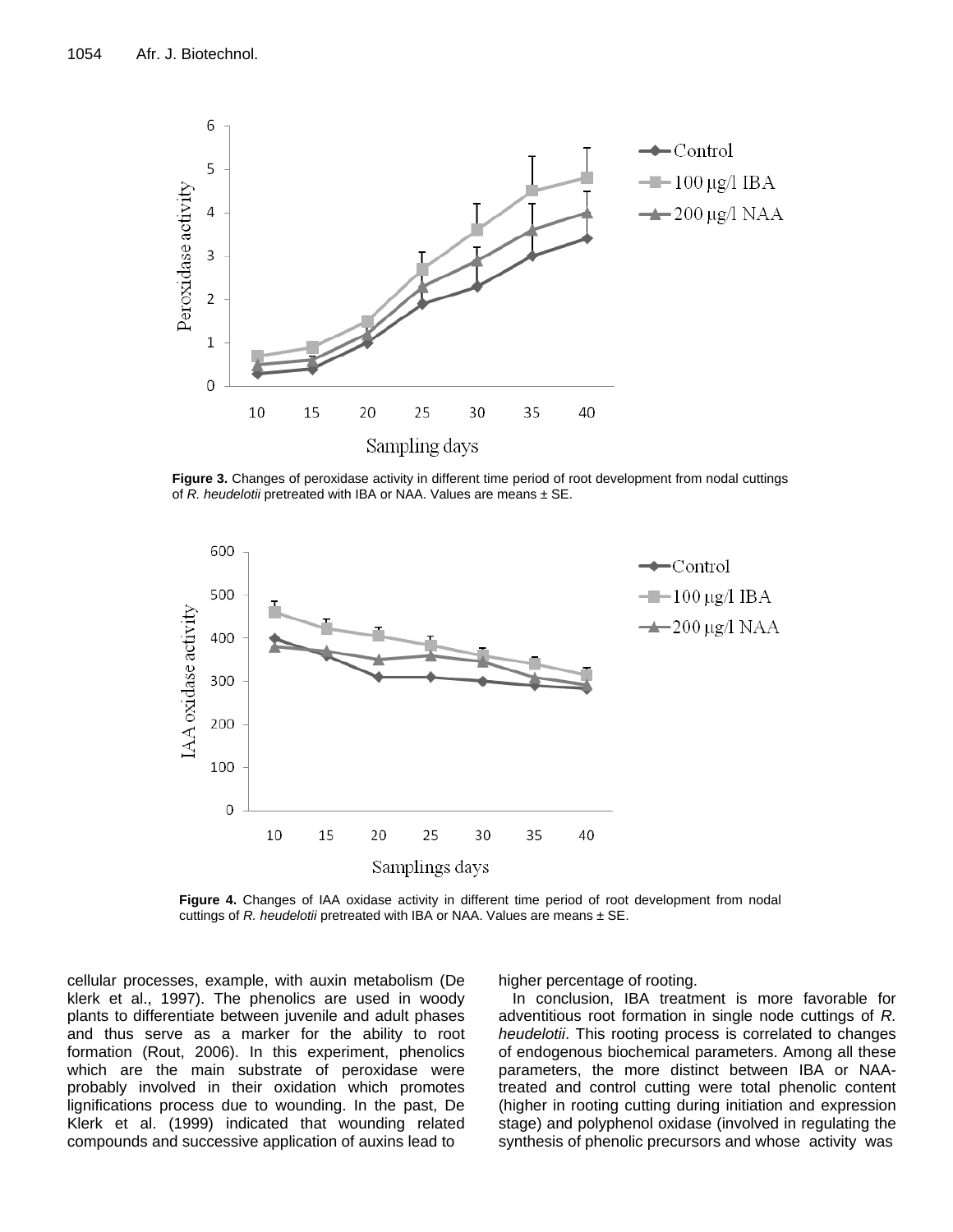

**Figure 3.** Changes of peroxidase activity in different time period of root development from nodal cuttings of *R. heudelotii* pretreated with IBA or NAA. Values are means ± SE.



**Figure 4.** Changes of IAA oxidase activity in different time period of root development from nodal cuttings of *R. heudelotii* pretreated with IBA or NAA. Values are means ± SE.

cellular processes, example, with auxin metabolism (De klerk et al., 1997). The phenolics are used in woody plants to differentiate between juvenile and adult phases and thus serve as a marker for the ability to root formation (Rout, 2006). In this experiment, phenolics which are the main substrate of peroxidase were probably involved in their oxidation which promotes lignifications process due to wounding. In the past, De Klerk et al. (1999) indicated that wounding related compounds and successive application of auxins lead to

higher percentage of rooting.

In conclusion, IBA treatment is more favorable for adventitious root formation in single node cuttings of *R. heudelotii*. This rooting process is correlated to changes of endogenous biochemical parameters. Among all these parameters, the more distinct between IBA or NAAtreated and control cutting were total phenolic content (higher in rooting cutting during initiation and expression stage) and polyphenol oxidase (involved in regulating the synthesis of phenolic precursors and whose activity was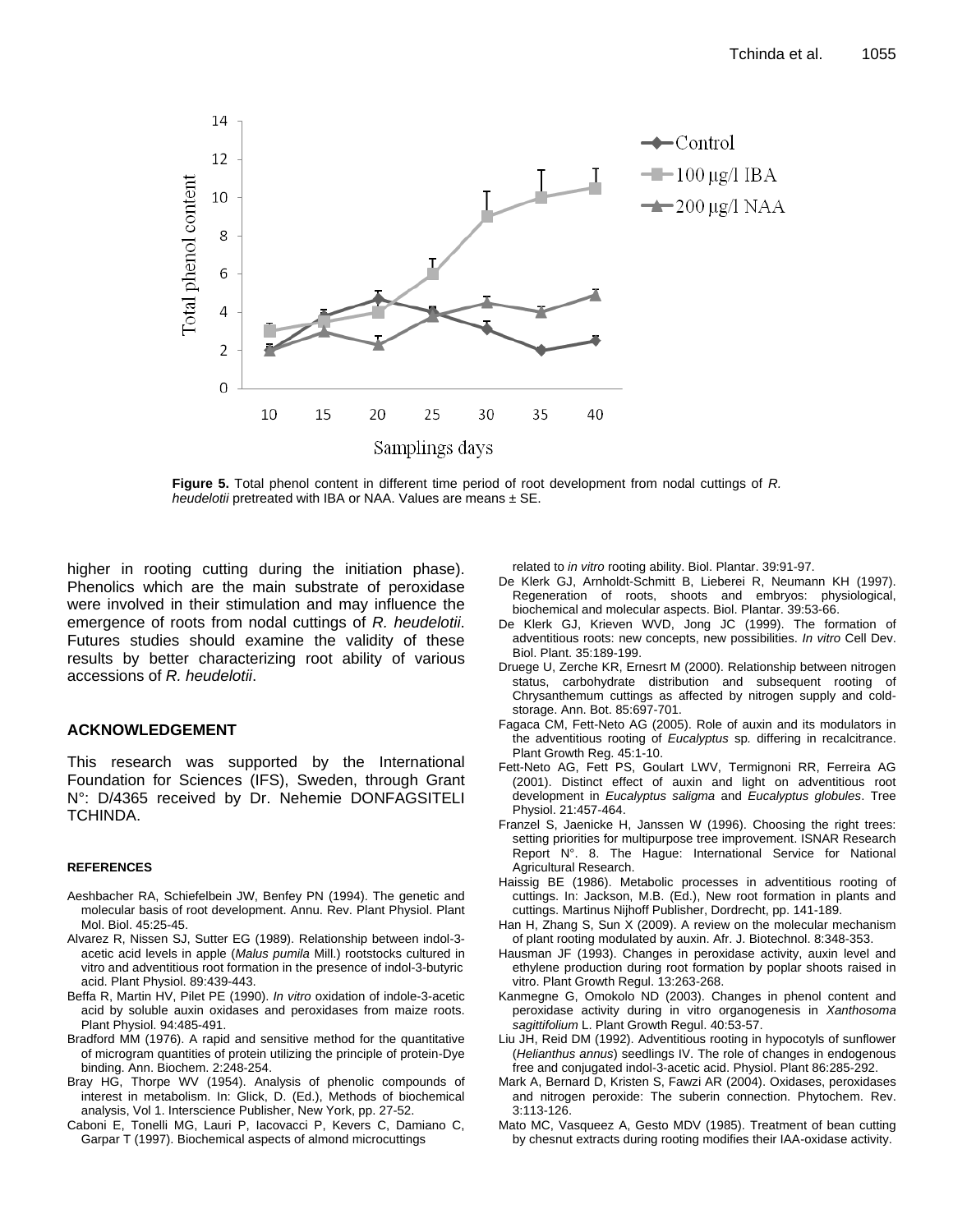

**Figure 5.** Total phenol content in different time period of root development from nodal cuttings of *R. heudelotii* pretreated with IBA or NAA. Values are means ± SE.

higher in rooting cutting during the initiation phase). Phenolics which are the main substrate of peroxidase were involved in their stimulation and may influence the emergence of roots from nodal cuttings of *R. heudelotii*. Futures studies should examine the validity of these results by better characterizing root ability of various accessions of *R. heudelotii*.

## **ACKNOWLEDGEMENT**

This research was supported by the International Foundation for Sciences (IFS), Sweden, through Grant N°: D/4365 received by Dr. Nehemie DONFAGSITELI TCHINDA.

#### **REFERENCES**

- Aeshbacher RA, Schiefelbein JW, Benfey PN (1994). The genetic and molecular basis of root development. Annu. Rev. Plant Physiol. Plant Mol. Biol. 45:25-45.
- Alvarez R, Nissen SJ, Sutter EG (1989). Relationship between indol-3 acetic acid levels in apple (*Malus pumila* Mill.) rootstocks cultured in vitro and adventitious root formation in the presence of indol-3-butyric acid. Plant Physiol. 89:439-443.
- Beffa R, Martin HV, Pilet PE (1990). *In vitro* oxidation of indole-3-acetic acid by soluble auxin oxidases and peroxidases from maize roots. Plant Physiol. 94:485-491.
- Bradford MM (1976). A rapid and sensitive method for the quantitative of microgram quantities of protein utilizing the principle of protein-Dye binding. Ann. Biochem. 2:248-254.
- Bray HG, Thorpe WV (1954). Analysis of phenolic compounds of interest in metabolism. In: Glick, D. (Ed.), Methods of biochemical analysis, Vol 1. Interscience Publisher, New York, pp. 27-52.
- Caboni E, Tonelli MG, Lauri P, Iacovacci P, Kevers C, Damiano C, Garpar T (1997). Biochemical aspects of almond microcuttings

related to *in vitro* rooting ability. Biol. Plantar. 39:91-97.

- De Klerk GJ, Arnholdt-Schmitt B, Lieberei R, Neumann KH (1997). Regeneration of roots, shoots and embryos: physiological, biochemical and molecular aspects. Biol. Plantar. 39:53-66.
- De Klerk GJ, Krieven WVD, Jong JC (1999). The formation of adventitious roots: new concepts, new possibilities. *In vitro* Cell Dev. Biol. Plant. 35:189-199.
- Druege U, Zerche KR, Ernesrt M (2000). Relationship between nitrogen status, carbohydrate distribution and subsequent rooting of Chrysanthemum cuttings as affected by nitrogen supply and coldstorage. Ann. Bot. 85:697-701.
- Fagaca CM, Fett-Neto AG (2005). Role of auxin and its modulators in the adventitious rooting of *Eucalyptus* sp*.* differing in recalcitrance. Plant Growth Reg. 45:1-10.
- Fett-Neto AG, Fett PS, Goulart LWV, Termignoni RR, Ferreira AG (2001). Distinct effect of auxin and light on adventitious root development in *Eucalyptus saligma* and *Eucalyptus globules*. Tree Physiol. 21:457-464.
- Franzel S, Jaenicke H, Janssen W (1996). Choosing the right trees: setting priorities for multipurpose tree improvement. ISNAR Research Report N°. 8. The Hague: International Service for National Agricultural Research.
- Haissig BE (1986). Metabolic processes in adventitious rooting of cuttings. In: Jackson, M.B. (Ed.), New root formation in plants and cuttings. Martinus Nijhoff Publisher, Dordrecht, pp. 141-189.
- Han H, Zhang S, Sun X (2009). A review on the molecular mechanism of plant rooting modulated by auxin. Afr. J. Biotechnol. 8:348-353.
- Hausman JF (1993). Changes in peroxidase activity, auxin level and ethylene production during root formation by poplar shoots raised in vitro. Plant Growth Regul. 13:263-268.
- Kanmegne G, Omokolo ND (2003). Changes in phenol content and peroxidase activity during in vitro organogenesis in *Xanthosoma sagittifolium* L. Plant Growth Regul. 40:53-57.
- Liu JH, Reid DM (1992). Adventitious rooting in hypocotyls of sunflower (*Helianthus annus*) seedlings IV. The role of changes in endogenous free and conjugated indol-3-acetic acid. Physiol. Plant 86:285-292.
- Mark A, Bernard D, Kristen S, Fawzi AR (2004). Oxidases, peroxidases and nitrogen peroxide: The suberin connection. Phytochem. Rev. 3:113-126.
- Mato MC, Vasqueez A, Gesto MDV (1985). Treatment of bean cutting by chesnut extracts during rooting modifies their IAA-oxidase activity.